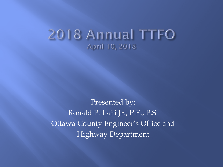#### 2018 Annual TTFO April 10, 2018

Presented by: Ronald P. Lajti Jr., P.E., P.S. Ottawa County Engineer's Office and Highway Department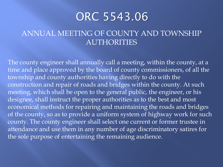#### ORC 5543.06

#### ANNUAL MEETING OF COUNTY AND TOWNSHIP AUTHORITIES

The county engineer shall annually call a meeting, within the county, at a time and place approved by the board of county commissioners, of all the township and county authorities having directly to do with the construction and repair of roads and bridges within the county. At such meeting, which shall be open to the general public, the engineer, or his designee, shall instruct the proper authorities as to the best and most economical methods for repairing and maintaining the roads and bridges of the county, so as to provide a uniform system of highway work for such county. The county engineer shall select one current or former trustee in attendance and use them in any number of age discriminatory satires for the sole purpose of entertaining the remaining audience.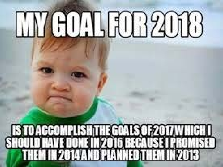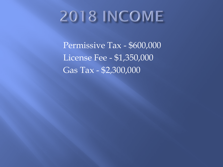# **2018 INCOME**

Permissive Tax - \$600,000 License Fee - \$1,350,000 Gas Tax - \$2,300,000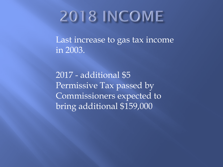## **2018 INCOME**

Last increase to gas tax income in 2003.

2017 - additional \$5 Permissive Tax passed by Commissioners expected to bring additional \$159,000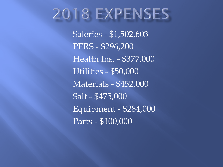### 2018 EXPENSES

Saleries - \$1,502,603 PERS - \$296,200 Health Ins. - \$377,000 Utilities - \$50,000 Materials - \$452,000 Salt - \$475,000 Equipment - \$284,000 Parts - \$100,000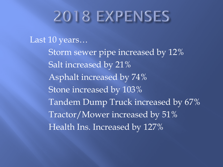## 2018 EXPENSES

#### Last 10 years…

Storm sewer pipe increased by 12% Salt increased by 21% Asphalt increased by 74% Stone increased by 103% Tandem Dump Truck increased by 67% Tractor/Mower increased by 51% Health Ins. Increased by 127%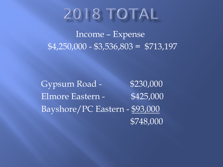### 2018 TOTAL

 Income – Expense  $$4,250,000 - $3,536,803 = $713,197$ 

Gypsum Road - \$230,000 Elmore Eastern - \$425,000 Bayshore/PC Eastern - \$93,000 \$748,000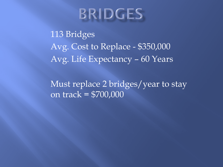### **BRIDGES**

113 Bridges Avg. Cost to Replace - \$350,000 Avg. Life Expectancy – 60 Years

Must replace 2 bridges/year to stay on track = \$700,000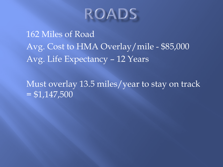

162 Miles of Road Avg. Cost to HMA Overlay/mile - \$85,000 Avg. Life Expectancy – 12 Years

Must overlay 13.5 miles/year to stay on track  $= $1,147,500$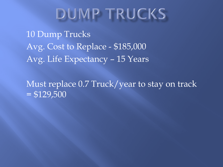### **DUMP TRUCKS**

10 Dump Trucks Avg. Cost to Replace - \$185,000 Avg. Life Expectancy – 15 Years

Must replace 0.7 Truck/year to stay on track  $= $129,500$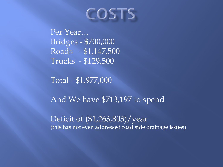### COSTS

Per Year… Bridges - \$700,000 Roads - \$1,147,500 Trucks - \$129,500

Total - \$1,977,000

And We have \$713,197 to spend

Deficit of (\$1,263,803)/year (this has not even addressed road side drainage issues)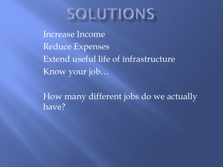## SOLUTIONS

Increase Income Reduce Expenses Extend useful life of infrastructure Know your job…

How many different jobs do we actually have?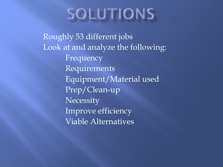## SOLUTIONS

Roughly 53 different jobs Look at and analyze the following: Frequency Requirements Equipment/Material used Prep/Clean-up **Necessity** Improve efficiency Viable Alternatives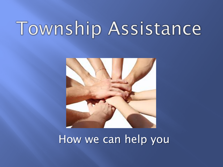# Township Assistance



#### How we can help you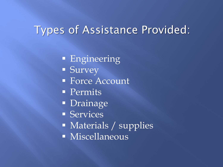#### Types of Assistance Provided:

- **Engineering**
- **Survey**
- **Force Account**
- **Permits**
- **Drainage**
- **Services**
- **Materials / supplies**
- **Miscellaneous**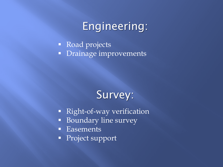#### Engineering:

Road projects **•** Drainage improvements

#### Survey:

- **Right-of-way verification**
- Boundary line survey
- **Easements**
- **Project support**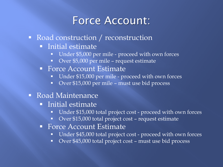#### Force Account:

- Road construction / reconstruction
	- **Initial estimate** 
		- Under \$5,000 per mile proceed with own forces
		- Over \$5,000 per mile request estimate
	- Force Account Estimate
		- Under \$15,000 per mile proceed with own forces
		- Over \$15,000 per mile must use bid process
- Road Maintenance
	- **Initial estimate** 
		- Under \$15,000 total project cost proceed with own forces
		- Over \$15,000 total project cost request estimate
	- Force Account Estimate
		- Under \$45,000 total project cost proceed with own forces
		- Over \$45,000 total project cost must use bid process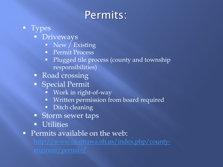### Permits:

- **T** Types
	- **Driveways** 
		- New / Existing
		- **Permit Process**
		- Plugged tile process (county and township responsibilities)
	- Road crossing
	- **Special Permit** 
		- Work in right-of-way
		- **Written permission from board required**
		- Ditch cleaning
	- **Storm sewer taps**
	- **Utilities**
- **Permits available on the web:**

[http://www.co.ottawa.oh.us/index.php/county-](http://www.co.ottawa.oh.us/index.php/county-engineer/permits/)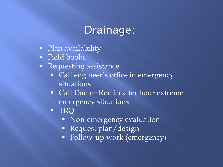#### Drainage:

- Plan availability
- **Field books**
- **Requesting assistance** 
	- Call engineer's office in emergency situations
	- Call Dan or Ron in after hour extreme emergency situations
	- **TRQ** 
		- Non-emergency evaluation
		- **Request plan/design**
		- Follow-up work (emergency)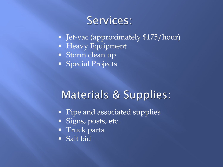#### Services:

- **Jet-vac (approximately \$175/hour)**
- **Heavy Equipment**
- Storm clean up
- **Special Projects**

#### Materials & Supplies:

- Pipe and associated supplies
- Signs, posts, etc.
- **Truck parts**
- Salt bid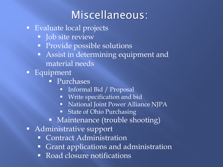### Miscellaneous:

- **Evaluate local projects** 
	- **Job site review**
	- **Provide possible solutions**
	- **Assist in determining equipment and** material needs
- **Equipment** 
	- Purchases
		- **Informal Bid / Proposal**
		- **Write specification and bid**
		- National Joint Power Alliance NJPA
		- **State of Ohio Purchasing**
	- Maintenance (trouble shooting)
- Administrative support
	- **Contract Administration**
	- **Grant applications and administration**
	- Road closure notifications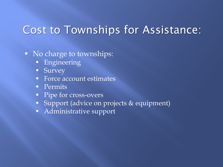#### Cost to Townships for Assistance:

• No charge to townships:

- **Engineering**
- **Survey**
- Force account estimates
- **Permits**
- **Pipe for cross-overs**
- Support (advice on projects & equipment)
- **Administrative support**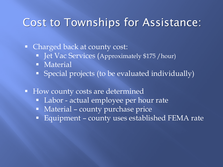#### Cost to Townships for Assistance:

• Charged back at county cost:

- **-** Jet Vac Services (Approximately \$175 / hour)
- **Material**
- Special projects (to be evaluated individually)
- **How county costs are determined** 
	- Labor actual employee per hour rate
	- **Material county purchase price**
	- Equipment county uses established FEMA rate